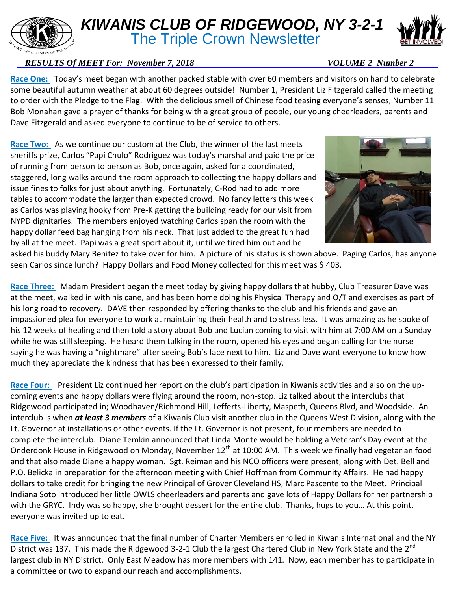## *KIWANIS CLUB OF RIDGEWOOD, NY 3-2-1*

**The Triple Crown Newsletter** 

## *RESULTS Of MEET For: November 7, 2018* VOLUME 2 Number 2

**Race One:** Today's meet began with another packed stable with over 60 members and visitors on hand to celebrate some beautiful autumn weather at about 60 degrees outside! Number 1, President Liz Fitzgerald called the meeting to order with the Pledge to the Flag. With the delicious smell of Chinese food teasing everyone's senses, Number 11 Bob Monahan gave a prayer of thanks for being with a great group of people, our young cheerleaders, parents and Dave Fitzgerald and asked everyone to continue to be of service to others.

**Race Two:** As we continue our custom at the Club, the winner of the last meets sheriffs prize, Carlos "Papi Chulo" Rodriguez was today's marshal and paid the price of running from person to person as Bob, once again, asked for a coordinated, staggered, long walks around the room approach to collecting the happy dollars and issue fines to folks for just about anything. Fortunately, C-Rod had to add more tables to accommodate the larger than expected crowd. No fancy letters this week as Carlos was playing hooky from Pre-K getting the building ready for our visit from NYPD dignitaries. The members enjoyed watching Carlos span the room with the happy dollar feed bag hanging from his neck. That just added to the great fun had by all at the meet. Papi was a great sport about it, until we tired him out and he

asked his buddy Mary Benitez to take over for him. A picture of his status is shown above. Paging Carlos, has anyone seen Carlos since lunch? Happy Dollars and Food Money collected for this meet was \$ 403.

**Race Three:** Madam President began the meet today by giving happy dollars that hubby, Club Treasurer Dave was at the meet, walked in with his cane, and has been home doing his Physical Therapy and O/T and exercises as part of his long road to recovery. DAVE then responded by offering thanks to the club and his friends and gave an impassioned plea for everyone to work at maintaining their health and to stress less. It was amazing as he spoke of his 12 weeks of healing and then told a story about Bob and Lucian coming to visit with him at 7:00 AM on a Sunday while he was still sleeping. He heard them talking in the room, opened his eyes and began calling for the nurse saying he was having a "nightmare" after seeing Bob's face next to him. Liz and Dave want everyone to know how much they appreciate the kindness that has been expressed to their family.

**Race Four:** President Liz continued her report on the club's participation in Kiwanis activities and also on the upcoming events and happy dollars were flying around the room, non-stop. Liz talked about the interclubs that Ridgewood participated in; Woodhaven/Richmond Hill, Lefferts-Liberty, Maspeth, Queens Blvd, and Woodside. An interclub is when *at least 3 members* of a Kiwanis Club visit another club in the Queens West Division, along with the Lt. Governor at installations or other events. If the Lt. Governor is not present, four members are needed to complete the interclub. Diane Temkin announced that Linda Monte would be holding a Veteran's Day event at the Onderdonk House in Ridgewood on Monday, November 12<sup>th</sup> at 10:00 AM. This week we finally had vegetarian food and that also made Diane a happy woman. Sgt. Reiman and his NCO officers were present, along with Det. Bell and P.O. Belicka in preparation for the afternoon meeting with Chief Hoffman from Community Affairs. He had happy dollars to take credit for bringing the new Principal of Grover Cleveland HS, Marc Pascente to the Meet. Principal Indiana Soto introduced her little OWLS cheerleaders and parents and gave lots of Happy Dollars for her partnership with the GRYC. Indy was so happy, she brought dessert for the entire club. Thanks, hugs to you… At this point, everyone was invited up to eat.

**Race Five:** It was announced that the final number of Charter Members enrolled in Kiwanis International and the NY District was 137. This made the Ridgewood 3-2-1 Club the largest Chartered Club in New York State and the 2<sup>nd</sup> largest club in NY District. Only East Meadow has more members with 141. Now, each member has to participate in a committee or two to expand our reach and accomplishments.